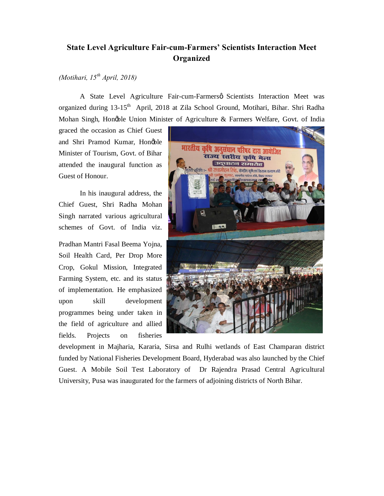## **State Level Agriculture Fair-cum-Farmers' Scientists Interaction Meet Organized**

## *(Motihari, 15th April, 2018)*

A State Level Agriculture Fair-cum-Farmersø Scientists Interaction Meet was organized during 13-15<sup>th</sup> April, 2018 at Zila School Ground, Motihari, Bihar. Shri Radha Mohan Singh, Honøble Union Minister of Agriculture & Farmers Welfare, Govt. of India

graced the occasion as Chief Guest and Shri Pramod Kumar, Honøble Minister of Tourism, Govt. of Bihar attended the inaugural function as Guest of Honour.

In his inaugural address, the Chief Guest, Shri Radha Mohan Singh narrated various agricultural schemes of Govt. of India viz.

Pradhan Mantri Fasal Beema Yojna, Soil Health Card, Per Drop More Crop, Gokul Mission, Integrated Farming System, etc. and its status of implementation. He emphasized upon skill development programmes being under taken in the field of agriculture and allied fields. Projects on fisheries



development in Majharia, Kararia, Sirsa and Rulhi wetlands of East Champaran district funded by National Fisheries Development Board, Hyderabad was also launched by the Chief Guest. A Mobile Soil Test Laboratory of Dr Rajendra Prasad Central Agricultural University, Pusa was inaugurated for the farmers of adjoining districts of North Bihar.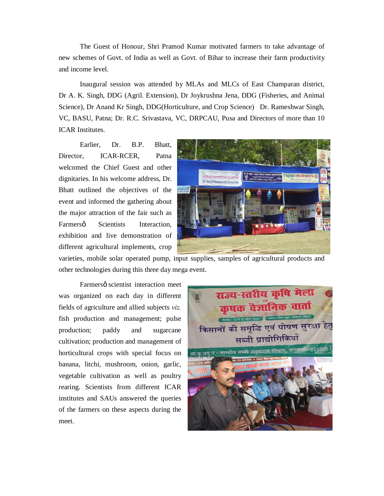The Guest of Honour, Shri Pramod Kumar motivated farmers to take advantage of new schemes of Govt. of India as well as Govt. of Bihar to increase their farm productivity and income level.

Inaugural session was attended by MLAs and MLCs of East Champaran district, Dr A. K. Singh, DDG (Agril. Extension), Dr Joykrushna Jena, DDG (Fisheries, and Animal Science), Dr Anand Kr Singh, DDG(Horticulture, and Crop Science) Dr. Rameshwar Singh, VC, BASU, Patna; Dr. R.C. Srivastava, VC, DRPCAU, Pusa and Directors of more than 10 ICAR Institutes.

Earlier, Dr. B.P. Bhatt, Director, ICAR-RCER, Patna welcomed the Chief Guest and other dignitaries. In his welcome address, Dr. Bhatt outlined the objectives of the event and informed the gathering about the major attraction of the fair such as Farmersø Scientists Interaction. exhibition and live demonstration of different agricultural implements, crop



varieties, mobile solar operated pump, input supplies, samples of agricultural products and other technologies during this three day mega event.

Farmersø scientist interaction meet was organized on each day in different fields of agriculture and allied subjects *viz.* fish production and management; pulse production; paddy and sugarcane cultivation; production and management of horticultural crops with special focus on banana, litchi, mushroom, onion, garlic, vegetable cultivation as well as poultry rearing. Scientists from different ICAR institutes and SAUs answered the queries of the farmers on these aspects during the meet.